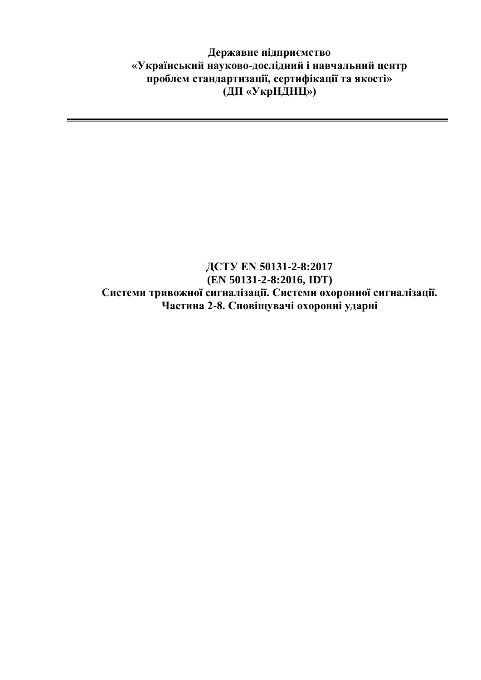**Державне підприємство «Український науково-дослідний і навчальний центр проблем стандартизації, сертифікації та якості» (ДП «УкрНДНЦ»)**

## **ДСТУ EN 50131-2-8:2017 (EN 50131-2-8:2016, IDT) Системи тривожної сигналізації. Системи охоронної сигналізації. Частина 2-8. Сповіщувачі охоронні ударні**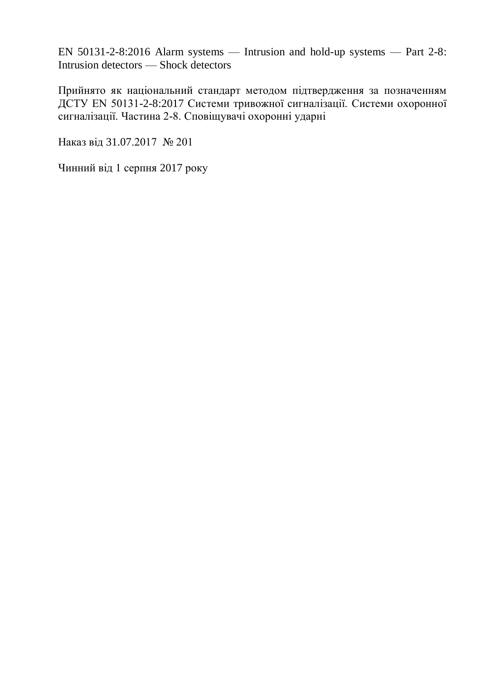EN 50131-2-8:2016 Alarm systems — Intrusion and hold-up systems — Part 2-8: Intrusion detectors — Shock detectors

Прийнято як національний стандарт методом підтвердження за позначенням ДСТУ EN 50131-2-8:2017 Системи тривожної сигналізації. Системи охоронної сигналізації. Частина 2-8. Сповіщувачі охоронні ударні

Наказ від 31.07.2017 № 201

Чинний від 1 серпня 2017 року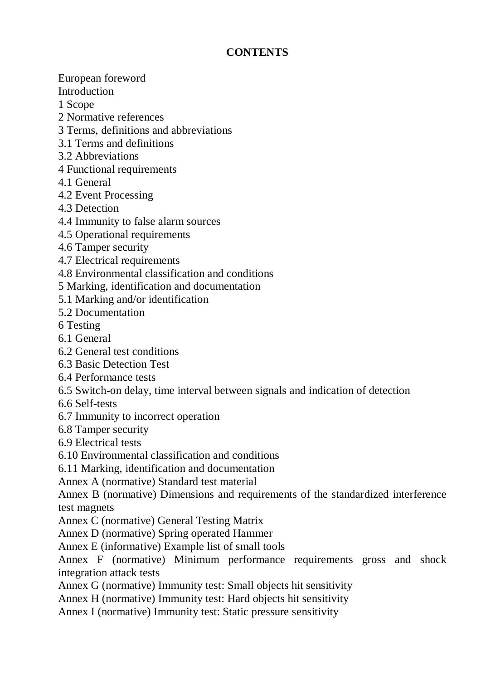## **CONTENTS**

European foreword

Introduction

1 Scope

- 2 Normative references
- 3 Terms, definitions and abbreviations
- 3.1 Terms and definitions
- 3.2 Abbreviations
- 4 Functional requirements
- 4.1 General
- 4.2 Event Processing
- 4.3 Detection
- 4.4 Immunity to false alarm sources
- 4.5 Operational requirements
- 4.6 Tamper security
- 4.7 Electrical requirements
- 4.8 Environmental classification and conditions
- 5 Marking, identification and documentation
- 5.1 Marking and/or identification
- 5.2 Documentation
- 6 Testing
- 6.1 General
- 6.2 General test conditions
- 6.3 Basic Detection Test
- 6.4 Performance tests
- 6.5 Switch-on delay, time interval between signals and indication of detection
- 6.6 Self-tests
- 6.7 Immunity to incorrect operation
- 6.8 Tamper security
- 6.9 Electrical tests
- 6.10 Environmental classification and conditions
- 6.11 Marking, identification and documentation
- Annex A (normative) Standard test material
- Annex B (normative) Dimensions and requirements of the standardized interference test magnets
- Annex C (normative) General Testing Matrix
- Annex D (normative) Spring operated Hammer
- Annex E (informative) Example list of small tools
- Annex F (normative) Minimum performance requirements gross and shock integration attack tests
- Annex G (normative) Immunity test: Small objects hit sensitivity
- Annex H (normative) Immunity test: Hard objects hit sensitivity
- Annex I (normative) Immunity test: Static pressure sensitivity